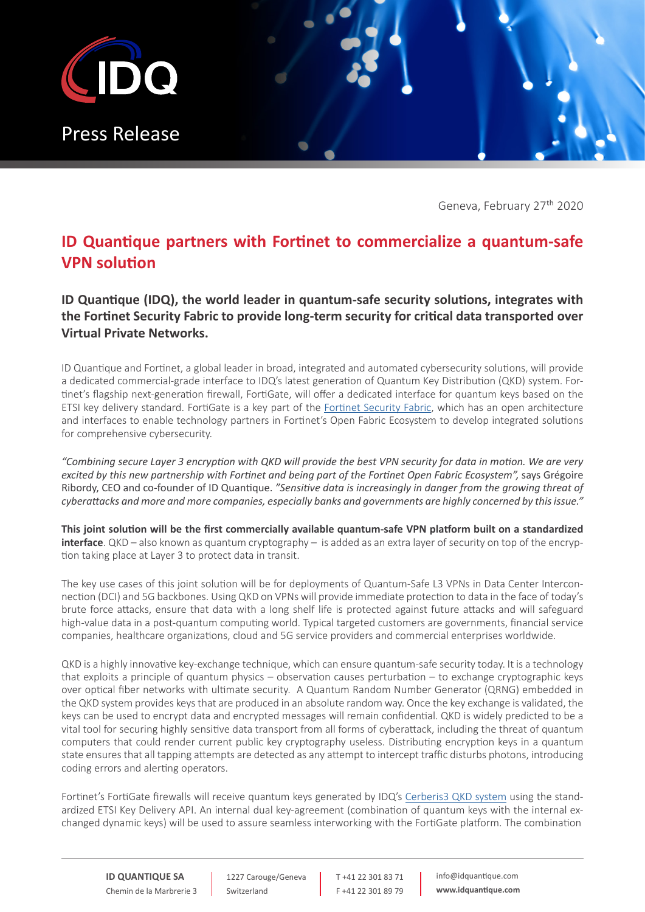

Geneva, February 27<sup>th</sup> 2020

## **ID Quantique partners with Fortinet to commercialize a quantum-safe VPN solution**

**ID Quantique (IDQ), the world leader in quantum-safe security solutions, integrates with the Fortinet Security Fabric to provide long-term security for critical data transported over Virtual Private Networks.**

ID Quantique and Fortinet, a global leader in broad, integrated and automated cybersecurity solutions, will provide a dedicated commercial-grade interface to IDQ's latest generation of Quantum Key Distribution (QKD) system. Fortinet's flagship next-generation firewall, FortiGate, will offer a dedicated interface for quantum keys based on the ETSI key delivery standard. FortiGate is a key part of the [Fortinet Security Fabric](https://www.fortinet.com/solutions/enterprise-midsize-business/enterprise-security.html), which has an open architecture and interfaces to enable technology partners in Fortinet's Open Fabric Ecosystem to develop integrated solutions for comprehensive cybersecurity.

*"Combining secure Layer 3 encryption with QKD will provide the best VPN security for data in motion. We are very excited by this new partnership with Fortinet and being part of the Fortinet Open Fabric Ecosystem",* says Grégoire Ribordy, CEO and co-founder of ID Quantique. *"Sensitive data is increasingly in danger from the growing threat of cyberattacks and more and more companies, especially banks and governments are highly concerned by this issue."*

**This joint solution will be the first commercially available quantum-safe VPN platform built on a standardized interface**. QKD – also known as quantum cryptography – is added as an extra layer of security on top of the encryption taking place at Layer 3 to protect data in transit.

The key use cases of this joint solution will be for deployments of Quantum-Safe L3 VPNs in Data Center Interconnection (DCI) and 5G backbones. Using QKD on VPNs will provide immediate protection to data in the face of today's brute force attacks, ensure that data with a long shelf life is protected against future attacks and will safeguard high-value data in a post-quantum computing world. Typical targeted customers are governments, financial service companies, healthcare organizations, cloud and 5G service providers and commercial enterprises worldwide.

QKD is a highly innovative key-exchange technique, which can ensure quantum-safe security today. It is a technology that exploits a principle of quantum physics – observation causes perturbation – to exchange cryptographic keys over optical fiber networks with ultimate security. A Quantum Random Number Generator (QRNG) embedded in the QKD system provides keys that are produced in an absolute random way. Once the key exchange is validated, the keys can be used to encrypt data and encrypted messages will remain confidential. QKD is widely predicted to be a vital tool for securing highly sensitive data transport from all forms of cyberattack, including the threat of quantum computers that could render current public key cryptography useless. Distributing encryption keys in a quantum state ensures that all tapping attempts are detected as any attempt to intercept traffic disturbs photons, introducing coding errors and alerting operators.

Fortinet's FortiGate firewalls will receive quantum keys generated by IDQ's [Cerberis3 QKD system](https://www.idquantique.com/quantum-safe-security/products/cerberis3-qkd-system/) using the standardized ETSI Key Delivery API. An internal dual key-agreement (combination of quantum keys with the internal exchanged dynamic keys) will be used to assure seamless interworking with the FortiGate platform. The combination

1227 Carouge/Geneva Switzerland

T +41 22 301 83 71 F +41 22 301 89 79 info@idquantique.com **www.idquantique.com**